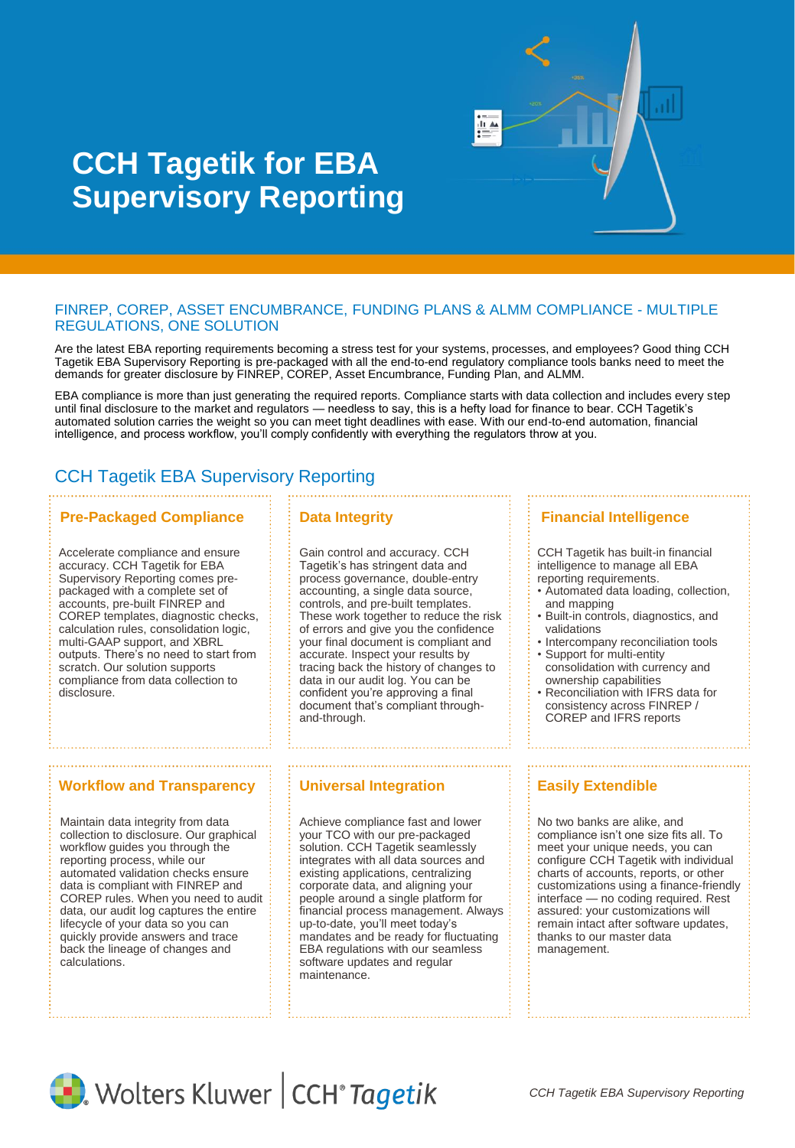

# **CCH Tagetik for EBA Supervisory Reporting**

#### FINREP, COREP, ASSET ENCUMBRANCE, FUNDING PLANS & ALMM COMPLIANCE - MULTIPLE REGULATIONS, ONE SOLUTION

Are the latest EBA reporting requirements becoming a stress test for your systems, processes, and employees? Good thing CCH Tagetik EBA Supervisory Reporting is pre-packaged with all the end-to-end regulatory compliance tools banks need to meet the demands for greater disclosure by FINREP, COREP, Asset Encumbrance, Funding Plan, and ALMM.

EBA compliance is more than just generating the required reports. Compliance starts with data collection and includes every step until final disclosure to the market and regulators — needless to say, this is a hefty load for finance to bear. CCH Tagetik's automated solution carries the weight so you can meet tight deadlines with ease. With our end-to-end automation, financial intelligence, and process workflow, you'll comply confidently with everything the regulators throw at you.

## CCH Tagetik EBA Supervisory Reporting

#### **Pre-Packaged Compliance Fig. 2 Data Integrity**

Accelerate compliance and ensure accuracy. CCH Tagetik for EBA Supervisory Reporting comes prepackaged with a complete set of accounts, pre-built FINREP and COREP templates, diagnostic checks, calculation rules, consolidation logic, multi-GAAP support, and XBRL outputs. There's no need to start from scratch. Our solution supports compliance from data collection to disclosure.

#### **Workflow and Transparency | | Universal Integration | | | | | Easily Extendible**

Maintain data integrity from data collection to disclosure. Our graphical workflow guides you through the reporting process, while our automated validation checks ensure data is compliant with FINREP and COREP rules. When you need to audit data, our audit log captures the entire lifecycle of your data so you can quickly provide answers and trace back the lineage of changes and calculations.

Gain control and accuracy. CCH Tagetik's has stringent data and process governance, double-entry accounting, a single data source, controls, and pre-built templates. These work together to reduce the risk of errors and give you the confidence your final document is compliant and accurate. Inspect your results by tracing back the history of changes to data in our audit log. You can be confident you're approving a final document that's compliant throughand-through.

Achieve compliance fast and lower your TCO with our pre-packaged solution. CCH Tagetik seamlessly integrates with all data sources and existing applications, centralizing corporate data, and aligning your people around a single platform for financial process management. Always up-to-date, you'll meet today's mandates and be ready for fluctuating EBA regulations with our seamless software updates and regular maintenance.

### **Financial Intelligence**

CCH Tagetik has built-in financial intelligence to manage all EBA reporting requirements.

- Automated data loading, collection, and mapping
- Built-in controls, diagnostics, and validations
- Intercompany reconciliation tools • Support for multi-entity
- consolidation with currency and ownership capabilities
- Reconciliation with IFRS data for consistency across FINREP / COREP and IFRS reports

No two banks are alike, and compliance isn't one size fits all. To meet your unique needs, you can configure CCH Tagetik with individual charts of accounts, reports, or other customizations using a finance-friendly interface — no coding required. Rest assured: your customizations will remain intact after software updates, thanks to our master data management.